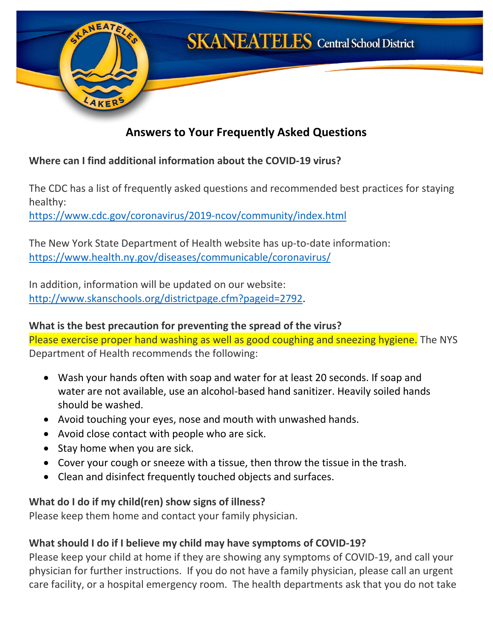

# **Answers to Your Frequently Asked Questions**

#### **Where can I find additional information about the COVID-19 virus?**

The CDC has a list of frequently asked questions and recommended best practices for staying healthy:

<https://www.cdc.gov/coronavirus/2019-ncov/community/index.html>

The New York State Department of Health website has up-to-date information: <https://www.health.ny.gov/diseases/communicable/coronavirus/>

In addition, information will be updated on our website: [http://www.skanschools.org/districtpage.cfm?pageid=2792.](http://www.skanschools.org/districtpage.cfm?pageid=2792)

#### **What is the best precaution for preventing the spread of the virus?** Please exercise proper hand washing as well as good coughing and sneezing hygiene. The NYS Department of Health recommends the following:

- Wash your hands often with soap and water for at least 20 seconds. If soap and water are not available, use an alcohol-based hand sanitizer. Heavily soiled hands should be washed.
- Avoid touching your eyes, nose and mouth with unwashed hands.
- Avoid close contact with people who are sick.
- Stay home when you are sick.
- Cover your cough or sneeze with a tissue, then throw the tissue in the trash.
- Clean and disinfect frequently touched objects and surfaces.

# **What do I do if my child(ren) show signs of illness?**

Please keep them home and contact your family physician.

# **What should I do if I believe my child may have symptoms of COVID-19?**

Please keep your child at home if they are showing any symptoms of COVID-19, and call your physician for further instructions. If you do not have a family physician, please call an urgent care facility, or a hospital emergency room. The health departments ask that you do not take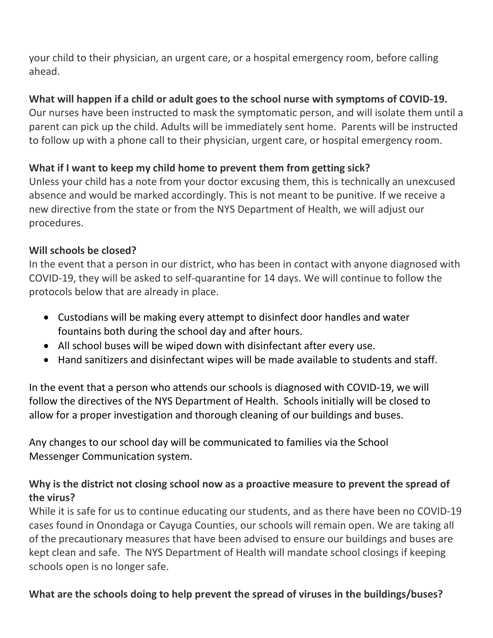your child to their physician, an urgent care, or a hospital emergency room, before calling ahead.

### **What will happen if a child or adult goes to the school nurse with symptoms of COVID-19.**

Our nurses have been instructed to mask the symptomatic person, and will isolate them until a parent can pick up the child. Adults will be immediately sent home. Parents will be instructed to follow up with a phone call to their physician, urgent care, or hospital emergency room.

#### **What if I want to keep my child home to prevent them from getting sick?**

Unless your child has a note from your doctor excusing them, this is technically an unexcused absence and would be marked accordingly. This is not meant to be punitive. If we receive a new directive from the state or from the NYS Department of Health, we will adjust our procedures.

#### **Will schools be closed?**

In the event that a person in our district, who has been in contact with anyone diagnosed with COVID-19, they will be asked to self-quarantine for 14 days. We will continue to follow the protocols below that are already in place.

- Custodians will be making every attempt to disinfect door handles and water fountains both during the school day and after hours.
- All school buses will be wiped down with disinfectant after every use.
- Hand sanitizers and disinfectant wipes will be made available to students and staff.

In the event that a person who attends our schools is diagnosed with COVID-19, we will follow the directives of the NYS Department of Health. Schools initially will be closed to allow for a proper investigation and thorough cleaning of our buildings and buses.

Any changes to our school day will be communicated to families via the School Messenger Communication system.

### **Why is the district not closing school now as a proactive measure to prevent the spread of the virus?**

While it is safe for us to continue educating our students, and as there have been no COVID-19 cases found in Onondaga or Cayuga Counties, our schools will remain open. We are taking all of the precautionary measures that have been advised to ensure our buildings and buses are kept clean and safe. The NYS Department of Health will mandate school closings if keeping schools open is no longer safe.

# **What are the schools doing to help prevent the spread of viruses in the buildings/buses?**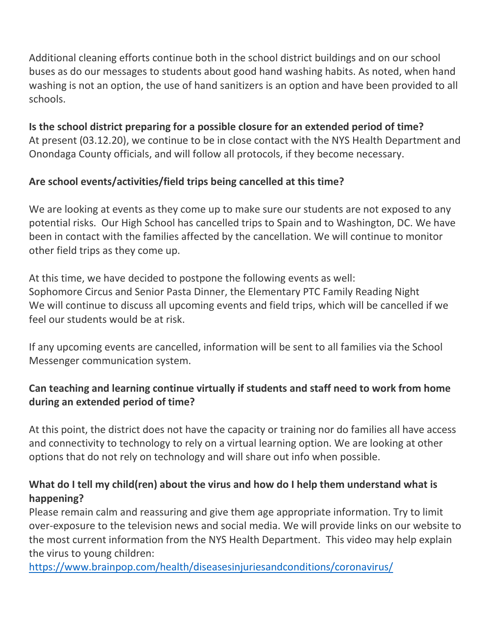Additional cleaning efforts continue both in the school district buildings and on our school buses as do our messages to students about good hand washing habits. As noted, when hand washing is not an option, the use of hand sanitizers is an option and have been provided to all schools.

**Is the school district preparing for a possible closure for an extended period of time?** At present (03.12.20), we continue to be in close contact with the NYS Health Department and Onondaga County officials, and will follow all protocols, if they become necessary.

#### **Are school events/activities/field trips being cancelled at this time?**

We are looking at events as they come up to make sure our students are not exposed to any potential risks. Our High School has cancelled trips to Spain and to Washington, DC. We have been in contact with the families affected by the cancellation. We will continue to monitor other field trips as they come up.

At this time, we have decided to postpone the following events as well: Sophomore Circus and Senior Pasta Dinner, the Elementary PTC Family Reading Night We will continue to discuss all upcoming events and field trips, which will be cancelled if we feel our students would be at risk.

If any upcoming events are cancelled, information will be sent to all families via the School Messenger communication system.

# **Can teaching and learning continue virtually if students and staff need to work from home during an extended period of time?**

At this point, the district does not have the capacity or training nor do families all have access and connectivity to technology to rely on a virtual learning option. We are looking at other options that do not rely on technology and will share out info when possible.

### **What do I tell my child(ren) about the virus and how do I help them understand what is happening?**

Please remain calm and reassuring and give them age appropriate information. Try to limit over-exposure to the television news and social media. We will provide links on our website to the most current information from the NYS Health Department. This video may help explain the virus to young children:

<https://www.brainpop.com/health/diseasesinjuriesandconditions/coronavirus/>